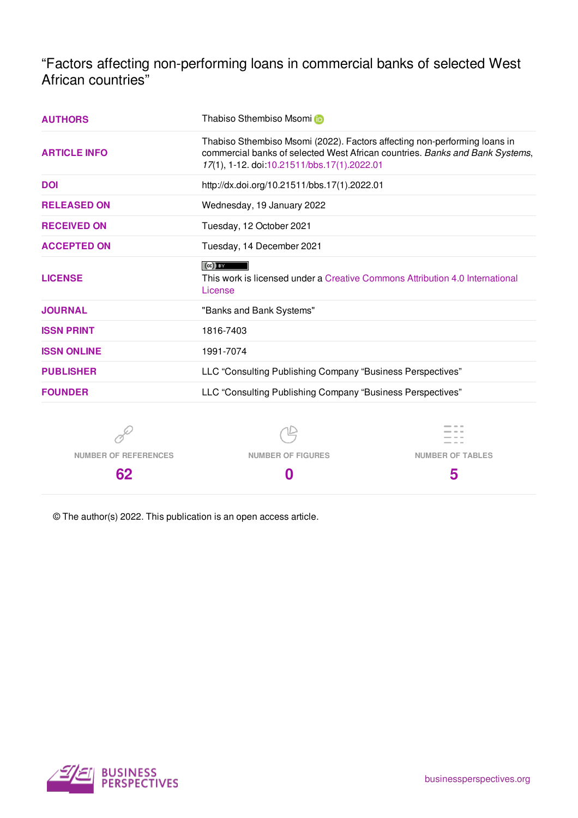"Factors affecting non-performing loans in commercial banks of selected West African countries"

| <b>AUTHORS</b>              | Thabiso Sthembiso Msomi                                                                                                                                                                                  |                         |  |  |  |
|-----------------------------|----------------------------------------------------------------------------------------------------------------------------------------------------------------------------------------------------------|-------------------------|--|--|--|
| <b>ARTICLE INFO</b>         | Thabiso Sthembiso Msomi (2022). Factors affecting non-performing loans in<br>commercial banks of selected West African countries. Banks and Bank Systems,<br>17(1), 1-12. doi:10.21511/bbs.17(1).2022.01 |                         |  |  |  |
| <b>DOI</b>                  | http://dx.doi.org/10.21511/bbs.17(1).2022.01                                                                                                                                                             |                         |  |  |  |
| <b>RELEASED ON</b>          | Wednesday, 19 January 2022                                                                                                                                                                               |                         |  |  |  |
| <b>RECEIVED ON</b>          | Tuesday, 12 October 2021                                                                                                                                                                                 |                         |  |  |  |
| <b>ACCEPTED ON</b>          | Tuesday, 14 December 2021                                                                                                                                                                                |                         |  |  |  |
| <b>LICENSE</b>              | $(cc)$ BY<br>This work is licensed under a Creative Commons Attribution 4.0 International<br>License                                                                                                     |                         |  |  |  |
| <b>JOURNAL</b>              | "Banks and Bank Systems"                                                                                                                                                                                 |                         |  |  |  |
| <b>ISSN PRINT</b>           | 1816-7403                                                                                                                                                                                                |                         |  |  |  |
| <b>ISSN ONLINE</b>          | 1991-7074                                                                                                                                                                                                |                         |  |  |  |
| <b>PUBLISHER</b>            | LLC "Consulting Publishing Company "Business Perspectives"                                                                                                                                               |                         |  |  |  |
| <b>FOUNDER</b>              | LLC "Consulting Publishing Company "Business Perspectives"                                                                                                                                               |                         |  |  |  |
|                             |                                                                                                                                                                                                          |                         |  |  |  |
| <b>NUMBER OF REFERENCES</b> | <b>NUMBER OF FIGURES</b>                                                                                                                                                                                 | <b>NUMBER OF TABLES</b> |  |  |  |
| 62                          | 0                                                                                                                                                                                                        | 5                       |  |  |  |

© The author(s) 2022. This publication is an open access article.

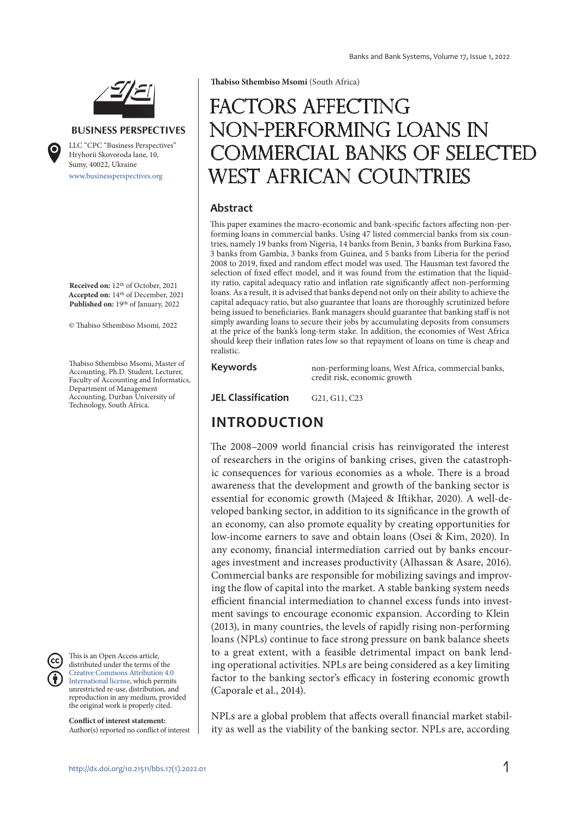

#### **BUSINESS PERSPECTIVES**

www.businessperspectives.org LLC "СPС "Business Perspectives" Hryhorii Skovoroda lane, 10, Sumy, 40022, Ukraine

**Received on:** 12th of October, 2021 **Accepted on:** 14th of December, 2021 **Published on:** 19th of January, 2022

© Thabiso Sthembiso Msomi, 2022

Thabiso Sthembiso Msomi, Master of Accounting, Ph.D. Student, Lecturer, Faculty of Accounting and Informatics, Department of Management Accounting, Durban University of Technology, South Africa.



This is an Open Access article, distributed under the terms of the Creative Commons Attribution 4.0 International license, which permits unrestricted re-use, distribution, and reproduction in any medium, provided the original work is properly cited.

**Conflict of interest statement:**  Author(s) reported no conflict of interest **Thabiso Sthembiso Msomi** (South Africa)

# FACTORS AFFECTING non-performing loans in commercial banks of selected West African countries

#### **Abstract**

This paper examines the macro-economic and bank-specific factors affecting non-performing loans in commercial banks. Using 47 listed commercial banks from six countries, namely 19 banks from Nigeria, 14 banks from Benin, 3 banks from Burkina Faso, 3 banks from Gambia, 3 banks from Guinea, and 5 banks from Liberia for the period 2008 to 2019, fixed and random effect model was used. The Hausman test favored the selection of fixed effect model, and it was found from the estimation that the liquidity ratio, capital adequacy ratio and inflation rate significantly affect non-performing loans. As a result, it is advised that banks depend not only on their ability to achieve the capital adequacy ratio, but also guarantee that loans are thoroughly scrutinized before being issued to beneficiaries. Bank managers should guarantee that banking staff is not simply awarding loans to secure their jobs by accumulating deposits from consumers at the price of the bank's long-term stake. In addition, the economies of West Africa should keep their inflation rates low so that repayment of loans on time is cheap and realistic.

**Keywords** non-performing loans, West Africa, commercial banks, credit risk, economic growth

**JEL Classification** G21, G11, C23

## **INTRODUCTION**

The 2008–2009 world financial crisis has reinvigorated the interest of researchers in the origins of banking crises, given the catastrophic consequences for various economies as a whole. There is a broad awareness that the development and growth of the banking sector is essential for economic growth (Majeed & Iftikhar, 2020). A well-developed banking sector, in addition to its significance in the growth of an economy, can also promote equality by creating opportunities for low-income earners to save and obtain loans (Osei & Kim, 2020). In any economy, financial intermediation carried out by banks encourages investment and increases productivity (Alhassan & Asare, 2016). Commercial banks are responsible for mobilizing savings and improving the flow of capital into the market. A stable banking system needs efficient financial intermediation to channel excess funds into investment savings to encourage economic expansion. According to Klein (2013), in many countries, the levels of rapidly rising non-performing loans (NPLs) continue to face strong pressure on bank balance sheets to a great extent, with a feasible detrimental impact on bank lending operational activities. NPLs are being considered as a key limiting factor to the banking sector's efficacy in fostering economic growth (Caporale et al., 2014).

NPLs are a global problem that affects overall financial market stability as well as the viability of the banking sector. NPLs are, according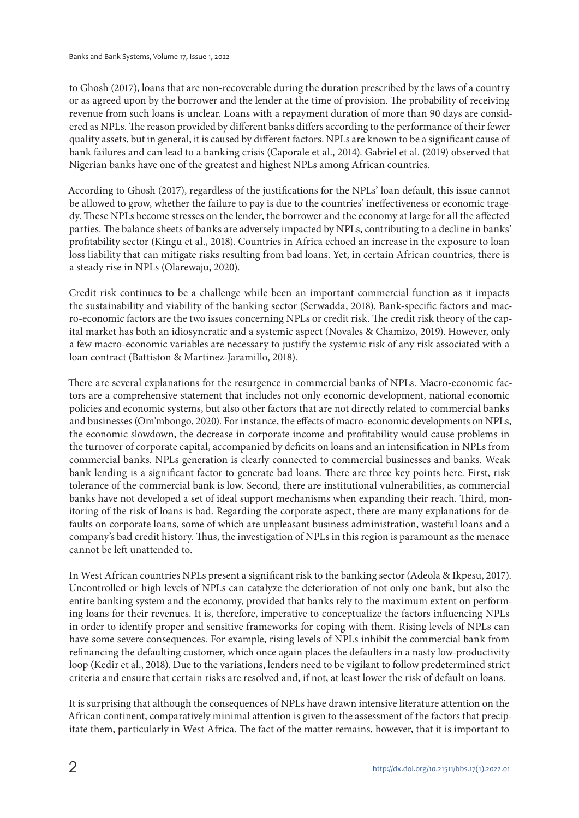to Ghosh (2017), loans that are non-recoverable during the duration prescribed by the laws of a country or as agreed upon by the borrower and the lender at the time of provision. The probability of receiving revenue from such loans is unclear. Loans with a repayment duration of more than 90 days are considered as NPLs. The reason provided by different banks differs according to the performance of their fewer quality assets, but in general, it is caused by different factors. NPLs are known to be a significant cause of bank failures and can lead to a banking crisis (Caporale et al., 2014). Gabriel et al. (2019) observed that Nigerian banks have one of the greatest and highest NPLs among African countries.

According to Ghosh (2017), regardless of the justifications for the NPLs' loan default, this issue cannot be allowed to grow, whether the failure to pay is due to the countries' ineffectiveness or economic tragedy. These NPLs become stresses on the lender, the borrower and the economy at large for all the affected parties. The balance sheets of banks are adversely impacted by NPLs, contributing to a decline in banks' profitability sector (Kingu et al., 2018). Countries in Africa echoed an increase in the exposure to loan loss liability that can mitigate risks resulting from bad loans. Yet, in certain African countries, there is a steady rise in NPLs (Olarewaju, 2020).

Credit risk continues to be a challenge while been an important commercial function as it impacts the sustainability and viability of the banking sector (Serwadda, 2018). Bank-specific factors and macro-economic factors are the two issues concerning NPLs or credit risk. The credit risk theory of the capital market has both an idiosyncratic and a systemic aspect (Novales & Chamizo, 2019). However, only a few macro-economic variables are necessary to justify the systemic risk of any risk associated with a loan contract (Battiston & Martinez-Jaramillo, 2018).

There are several explanations for the resurgence in commercial banks of NPLs. Macro-economic factors are a comprehensive statement that includes not only economic development, national economic policies and economic systems, but also other factors that are not directly related to commercial banks and businesses (Om'mbongo, 2020). For instance, the effects of macro-economic developments on NPLs, the economic slowdown, the decrease in corporate income and profitability would cause problems in the turnover of corporate capital, accompanied by deficits on loans and an intensification in NPLs from commercial banks. NPLs generation is clearly connected to commercial businesses and banks. Weak bank lending is a significant factor to generate bad loans. There are three key points here. First, risk tolerance of the commercial bank is low. Second, there are institutional vulnerabilities, as commercial banks have not developed a set of ideal support mechanisms when expanding their reach. Third, monitoring of the risk of loans is bad. Regarding the corporate aspect, there are many explanations for defaults on corporate loans, some of which are unpleasant business administration, wasteful loans and a company's bad credit history. Thus, the investigation of NPLs in this region is paramount as the menace cannot be left unattended to.

In West African countries NPLs present a significant risk to the banking sector (Adeola & Ikpesu, 2017). Uncontrolled or high levels of NPLs can catalyze the deterioration of not only one bank, but also the entire banking system and the economy, provided that banks rely to the maximum extent on performing loans for their revenues. It is, therefore, imperative to conceptualize the factors influencing NPLs in order to identify proper and sensitive frameworks for coping with them. Rising levels of NPLs can have some severe consequences. For example, rising levels of NPLs inhibit the commercial bank from refinancing the defaulting customer, which once again places the defaulters in a nasty low-productivity loop (Kedir et al., 2018). Due to the variations, lenders need to be vigilant to follow predetermined strict criteria and ensure that certain risks are resolved and, if not, at least lower the risk of default on loans.

It is surprising that although the consequences of NPLs have drawn intensive literature attention on the African continent, comparatively minimal attention is given to the assessment of the factors that precipitate them, particularly in West Africa. The fact of the matter remains, however, that it is important to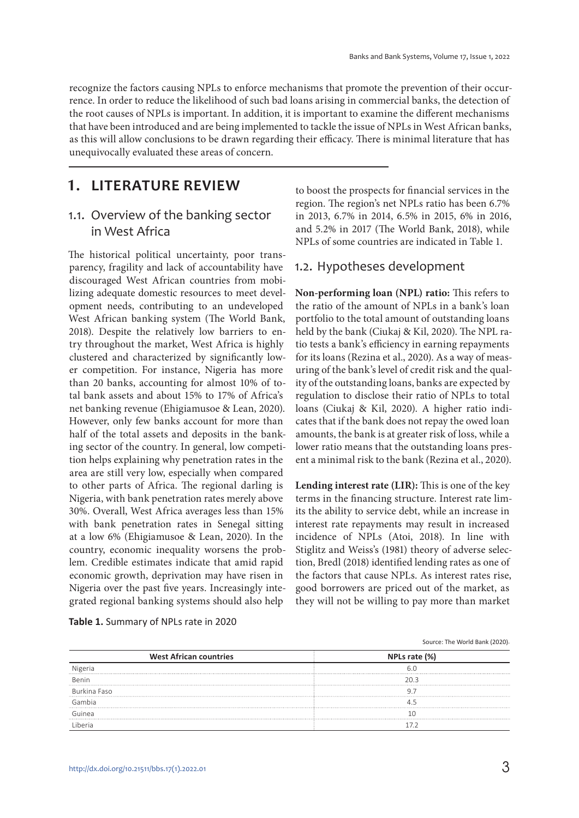recognize the factors causing NPLs to enforce mechanisms that promote the prevention of their occurrence. In order to reduce the likelihood of such bad loans arising in commercial banks, the detection of the root causes of NPLs is important. In addition, it is important to examine the different mechanisms that have been introduced and are being implemented to tackle the issue of NPLs in West African banks, as this will allow conclusions to be drawn regarding their efficacy. There is minimal literature that has unequivocally evaluated these areas of concern.

## **1. LITERATURE REVIEW**

#### 1.1. Overview of the banking sector in West Africa

The historical political uncertainty, poor transparency, fragility and lack of accountability have discouraged West African countries from mobilizing adequate domestic resources to meet development needs, contributing to an undeveloped West African banking system (The World Bank, 2018). Despite the relatively low barriers to entry throughout the market, West Africa is highly clustered and characterized by significantly lower competition. For instance, Nigeria has more than 20 banks, accounting for almost 10% of total bank assets and about 15% to 17% of Africa's net banking revenue (Ehigiamusoe & Lean, 2020). However, only few banks account for more than half of the total assets and deposits in the banking sector of the country. In general, low competition helps explaining why penetration rates in the area are still very low, especially when compared to other parts of Africa. The regional darling is Nigeria, with bank penetration rates merely above 30%. Overall, West Africa averages less than 15% with bank penetration rates in Senegal sitting at a low 6% (Ehigiamusoe & Lean, 2020). In the country, economic inequality worsens the problem. Credible estimates indicate that amid rapid economic growth, deprivation may have risen in Nigeria over the past five years. Increasingly integrated regional banking systems should also help

to boost the prospects for financial services in the region. The region's net NPLs ratio has been 6.7% in 2013, 6.7% in 2014, 6.5% in 2015, 6% in 2016, and 5.2% in 2017 (The World Bank, 2018), while NPLs of some countries are indicated in Table 1.

#### 1.2. Hypotheses development

**Non-performing loan (NPL) ratio:** This refers to the ratio of the amount of NPLs in a bank's loan portfolio to the total amount of outstanding loans held by the bank (Ciukaj & Kil, 2020). The NPL ratio tests a bank's efficiency in earning repayments for its loans (Rezina et al., 2020). As a way of measuring of the bank's level of credit risk and the quality of the outstanding loans, banks are expected by regulation to disclose their ratio of NPLs to total loans (Ciukaj & Kil, 2020). A higher ratio indicates that if the bank does not repay the owed loan amounts, the bank is at greater risk of loss, while a lower ratio means that the outstanding loans present a minimal risk to the bank (Rezina et al., 2020).

**Lending interest rate (LIR):** This is one of the key terms in the financing structure. Interest rate limits the ability to service debt, while an increase in interest rate repayments may result in increased incidence of NPLs (Atoi, 2018). In line with Stiglitz and Weiss's (1981) theory of adverse selection, Bredl (2018) identified lending rates as one of the factors that cause NPLs. As interest rates rise, good borrowers are priced out of the market, as they will not be willing to pay more than market

|                               | Source: The World Bank (2020). |  |  |  |  |
|-------------------------------|--------------------------------|--|--|--|--|
| <b>West African countries</b> | NPLs rate (%)                  |  |  |  |  |
| Nigeria                       |                                |  |  |  |  |
| Benin                         | วก ว                           |  |  |  |  |
| Burkina Faso                  |                                |  |  |  |  |
| Gambia                        |                                |  |  |  |  |
| Guinea                        |                                |  |  |  |  |
| l iheria                      |                                |  |  |  |  |

#### **Table 1.** Summary of NPLs rate in 2020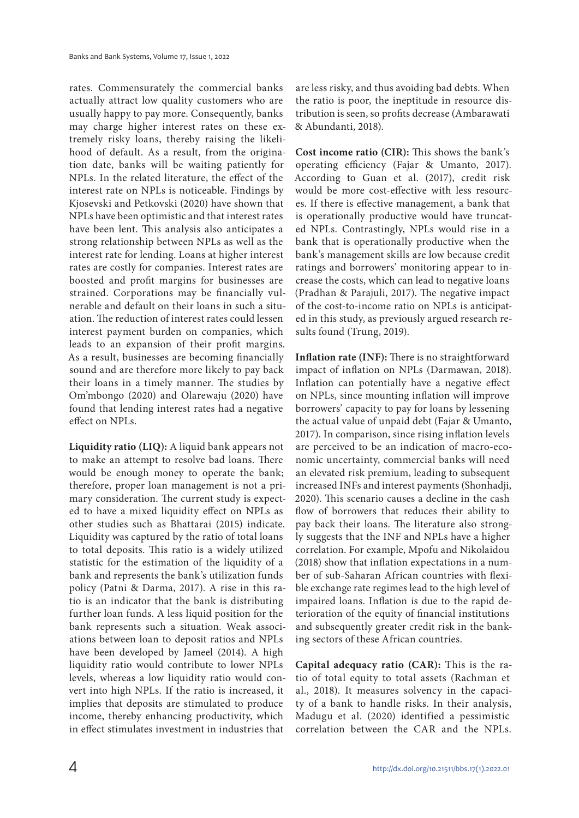rates. Commensurately the commercial banks actually attract low quality customers who are usually happy to pay more. Consequently, banks may charge higher interest rates on these extremely risky loans, thereby raising the likelihood of default. As a result, from the origination date, banks will be waiting patiently for NPLs. In the related literature, the effect of the interest rate on NPLs is noticeable. Findings by Kjosevski and Petkovski (2020) have shown that NPLs have been optimistic and that interest rates have been lent. This analysis also anticipates a strong relationship between NPLs as well as the interest rate for lending. Loans at higher interest rates are costly for companies. Interest rates are boosted and profit margins for businesses are strained. Corporations may be financially vulnerable and default on their loans in such a situation. The reduction of interest rates could lessen interest payment burden on companies, which leads to an expansion of their profit margins. As a result, businesses are becoming financially sound and are therefore more likely to pay back their loans in a timely manner. The studies by Om'mbongo (2020) and Olarewaju (2020) have found that lending interest rates had a negative effect on NPLs.

**Liquidity ratio (LIQ):** A liquid bank appears not to make an attempt to resolve bad loans. There would be enough money to operate the bank; therefore, proper loan management is not a primary consideration. The current study is expected to have a mixed liquidity effect on NPLs as other studies such as Bhattarai (2015) indicate. Liquidity was captured by the ratio of total loans to total deposits. This ratio is a widely utilized statistic for the estimation of the liquidity of a bank and represents the bank's utilization funds policy (Patni & Darma, 2017). A rise in this ratio is an indicator that the bank is distributing further loan funds. A less liquid position for the bank represents such a situation. Weak associations between loan to deposit ratios and NPLs have been developed by Jameel (2014). A high liquidity ratio would contribute to lower NPLs levels, whereas a low liquidity ratio would convert into high NPLs. If the ratio is increased, it implies that deposits are stimulated to produce income, thereby enhancing productivity, which in effect stimulates investment in industries that

are less risky, and thus avoiding bad debts. When the ratio is poor, the ineptitude in resource distribution is seen, so profits decrease (Ambarawati & Abundanti, 2018).

**Cost income ratio (CIR):** This shows the bank's operating efficiency (Fajar & Umanto, 2017). According to Guan et al. (2017), credit risk would be more cost-effective with less resources. If there is effective management, a bank that is operationally productive would have truncated NPLs. Contrastingly, NPLs would rise in a bank that is operationally productive when the bank's management skills are low because credit ratings and borrowers' monitoring appear to increase the costs, which can lead to negative loans (Pradhan & Parajuli, 2017). The negative impact of the cost-to-income ratio on NPLs is anticipated in this study, as previously argued research results found (Trung, 2019).

**Inflation rate (INF):** There is no straightforward impact of inflation on NPLs (Darmawan, 2018). Inflation can potentially have a negative effect on NPLs, since mounting inflation will improve borrowers' capacity to pay for loans by lessening the actual value of unpaid debt (Fajar & Umanto, 2017). In comparison, since rising inflation levels are perceived to be an indication of macro-economic uncertainty, commercial banks will need an elevated risk premium, leading to subsequent increased INFs and interest payments (Shonhadji, 2020). This scenario causes a decline in the cash flow of borrowers that reduces their ability to pay back their loans. The literature also strongly suggests that the INF and NPLs have a higher correlation. For example, Mpofu and Nikolaidou (2018) show that inflation expectations in a number of sub-Saharan African countries with flexible exchange rate regimes lead to the high level of impaired loans. Inflation is due to the rapid deterioration of the equity of financial institutions and subsequently greater credit risk in the banking sectors of these African countries.

**Capital adequacy ratio (CAR):** This is the ratio of total equity to total assets (Rachman et al., 2018). It measures solvency in the capacity of a bank to handle risks. In their analysis, Madugu et al. (2020) identified a pessimistic correlation between the CAR and the NPLs.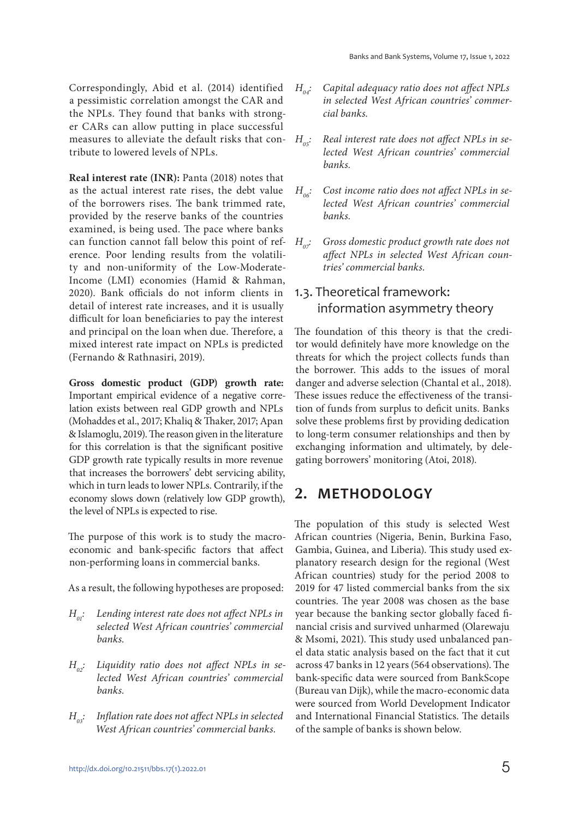Correspondingly, Abid et al. (2014) identified a pessimistic correlation amongst the CAR and the NPLs. They found that banks with stronger CARs can allow putting in place successful measures to alleviate the default risks that contribute to lowered levels of NPLs.

**Real interest rate (INR):** Panta (2018) notes that as the actual interest rate rises, the debt value of the borrowers rises. The bank trimmed rate, provided by the reserve banks of the countries examined, is being used. The pace where banks can function cannot fall below this point of reference. Poor lending results from the volatility and non-uniformity of the Low-Moderate-Income (LMI) economies (Hamid & Rahman, 2020). Bank officials do not inform clients in detail of interest rate increases, and it is usually difficult for loan beneficiaries to pay the interest and principal on the loan when due. Therefore, a mixed interest rate impact on NPLs is predicted (Fernando & Rathnasiri, 2019).

**Gross domestic product (GDP) growth rate:**  Important empirical evidence of a negative correlation exists between real GDP growth and NPLs (Mohaddes et al., 2017; Khaliq & Thaker, 2017; Apan & Islamoglu, 2019). The reason given in the literature for this correlation is that the significant positive GDP growth rate typically results in more revenue that increases the borrowers' debt servicing ability, which in turn leads to lower NPLs. Contrarily, if the economy slows down (relatively low GDP growth), the level of NPLs is expected to rise.

The purpose of this work is to study the macroeconomic and bank-specific factors that affect non-performing loans in commercial banks.

As a result, the following hypotheses are proposed:

- $H_{01}$ : Lending interest rate does not affect NPLs in selected West African countries' commercial banks.
- $H_{\alpha}$ : Liquidity ratio does not affect NPLs in selected West African countries' commercial banks.
- $H_{\alpha 3}$ : Inflation rate does not affect NPLs in selected West African countries' commercial banks.
- $H_{04}$ : Capital adequacy ratio does not affect NPLs in selected West African countries' commercial banks.
- $H_{\alpha 5}$ : Real interest rate does not affect NPLs in selected West African countries' commercial banks.
- $H_{\text{loc}}$ : Cost income ratio does not affect NPLs in selected West African countries' commercial banks.
- $H_{\alpha\dot{\tau}}$  Gross domestic product growth rate does not affect NPLs in selected West African countries' commercial banks.

## 1.3. Theoretical framework: information asymmetry theory

The foundation of this theory is that the creditor would definitely have more knowledge on the threats for which the project collects funds than the borrower. This adds to the issues of moral danger and adverse selection (Chantal et al., 2018). These issues reduce the effectiveness of the transition of funds from surplus to deficit units. Banks solve these problems first by providing dedication to long-term consumer relationships and then by exchanging information and ultimately, by delegating borrowers' monitoring (Atoi, 2018).

## **2. METHODOLOGY**

The population of this study is selected West African countries (Nigeria, Benin, Burkina Faso, Gambia, Guinea, and Liberia). This study used explanatory research design for the regional (West African countries) study for the period 2008 to 2019 for 47 listed commercial banks from the six countries. The year 2008 was chosen as the base year because the banking sector globally faced financial crisis and survived unharmed (Olarewaju & Msomi, 2021). This study used unbalanced panel data static analysis based on the fact that it cut across 47 banks in 12 years (564 observations). The bank-specific data were sourced from BankScope (Bureau van Dijk), while the macro-economic data were sourced from World Development Indicator and International Financial Statistics. The details of the sample of banks is shown below.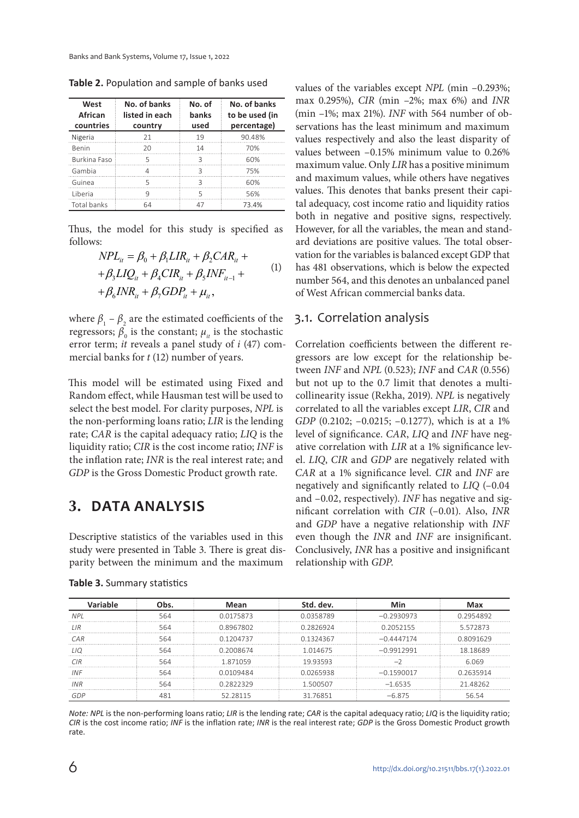| West<br>African<br>countries | No. of banks<br>listed in each<br>country | No. of<br>banks<br>used | No. of banks<br>to be used (in<br>percentage) |  |
|------------------------------|-------------------------------------------|-------------------------|-----------------------------------------------|--|
| Nigeria                      | 21                                        | 19                      | 90.48%                                        |  |
| <b>Benin</b>                 | 20                                        | 14                      | 70%                                           |  |
| Burkina Easo                 | 5                                         | $\mathbf{R}$            | 60%                                           |  |
| Gambia                       | 4                                         | Β                       | 75%                                           |  |
| Guinea                       | 5                                         | 3                       | 60%                                           |  |
| Liberia                      | q                                         | 5                       | 56%                                           |  |
| Total banks                  | 64                                        | 47                      | 73.4%                                         |  |

**Table 2.** Population and sample of banks used

Thus, the model for this study is specified as follows:

$$
NPL_{it} = \beta_0 + \beta_1 LIR_{it} + \beta_2 CAR_{it} +
$$
  
+  $\beta_3 LIQ_{it} + \beta_4 CIR_{it} + \beta_5 INF_{it-1} +$   
+  $\beta_6 INR_{it} + \beta_7 GDP_{it} + \mu_{it}$ , (1)

where  $\beta_1 - \beta_2$  are the estimated coefficients of the regressors;  $\beta_0$  is the constant;  $\mu_{it}$  is the stochastic error term; it reveals a panel study of i (47) commercial banks for  $t$  (12) number of years.

This model will be estimated using Fixed and Random effect, while Hausman test will be used to select the best model. For clarity purposes, NPL is the non-performing loans ratio; LIR is the lending rate; CAR is the capital adequacy ratio; LIQ is the liquidity ratio; CIR is the cost income ratio; INF is the inflation rate; INR is the real interest rate; and GDP is the Gross Domestic Product growth rate.

## **3. DATA ANALYSIS**

Descriptive statistics of the variables used in this study were presented in Table 3. There is great disparity between the minimum and the maximum

| Variable   | Obs. | Mean                                  | Std. dev. | Min          | Max       |
|------------|------|---------------------------------------|-----------|--------------|-----------|
| <b>NPI</b> | 564  | 00175873                              | 00358789  | $-0.2930973$ | 0.2954892 |
| I IR       | 564  | 0.8967802                             | 0 2826924 | 0 2052155    | 5572873   |
| CAR        | 564  | 0.1204737<br>01324367<br>$-0.4447174$ |           |              | 0.8091629 |
| 11O        | 564  | 0.2008674                             | 1 014675  | $-0.9912991$ | 18 18 689 |
| CIR        | 564  | 1871059                               | 1993593   |              | 6.069     |
| INF        | 564  | 0.0109484<br>00265938                 |           | $-0.1590017$ | 0 2635914 |
| INR        | 564  | 0.2822329                             | 1500507   | $-1.6535$    | 21 48262  |
|            |      | 52 28115                              | 31 76851  | $-6.875$     |           |

**Table 3.** Summary statistics

values of the variables except NPL (min –0.293%; max 0.295%), CIR (min –2%; max 6%) and INR (min –1%; max 21%). INF with 564 number of observations has the least minimum and maximum values respectively and also the least disparity of values between –0.15% minimum value to 0.26% maximum value. Only LIR has a positive minimum and maximum values, while others have negatives values. This denotes that banks present their capital adequacy, cost income ratio and liquidity ratios both in negative and positive signs, respectively. However, for all the variables, the mean and standard deviations are positive values. The total observation for the variables is balanced except GDP that has 481 observations, which is below the expected number 564, and this denotes an unbalanced panel of West African commercial banks data.

#### 3.1. Correlation analysis

Correlation coefficients between the different regressors are low except for the relationship between INF and NPL (0.523); INF and CAR (0.556) but not up to the 0.7 limit that denotes a multicollinearity issue (Rekha, 2019). NPL is negatively correlated to all the variables except LIR, CIR and GDP (0.2102; -0.0215; -0.1277), which is at a 1% level of significance. CAR, LIQ and INF have negative correlation with LIR at a 1% significance level. LIQ, CIR and GDP are negatively related with CAR at a 1% significance level. CIR and INF are negatively and significantly related to LIQ (–0.04 and –0.02, respectively). INF has negative and significant correlation with CIR (–0.01). Also, INR and GDP have a negative relationship with INF even though the INR and INF are insignificant. Conclusively, INR has a positive and insignificant relationship with GDP.

*Note: NPL* is the non-performing loans ratio; *LIR* is the lending rate; *CAR* is the capital adequacy ratio; *LIQ* is the liquidity ratio; *CIR* is the cost income ratio; *INF* is the inflation rate; *INR* is the real interest rate; *GDP* is the Gross Domestic Product growth rate.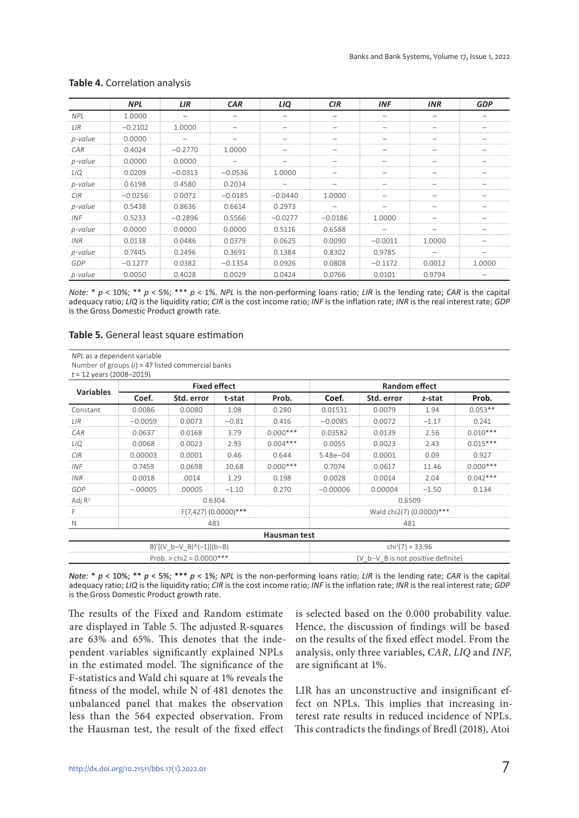|            | <b>NPL</b> | LIR       | <b>CAR</b> | LIQ       | <b>CIR</b> | <b>INF</b> | <b>INR</b> | <b>GDP</b> |
|------------|------------|-----------|------------|-----------|------------|------------|------------|------------|
| NPI.       | 1.0000     |           |            |           |            |            |            |            |
| LIR        | $-0.2102$  | 1.0000    |            |           |            |            |            |            |
| p-value    | 0.0000     |           |            |           |            |            |            |            |
| CAR        | 0.4024     | $-0.2770$ | 1.0000     |           |            |            |            |            |
| p-value    | 0.0000     | 0.0000    |            |           |            |            |            |            |
| 110        | 0.0209     | $-0.0313$ | $-0.0536$  | 1.0000    |            |            |            |            |
| p-value    | 0.6198     | 0.4580    | 0.2034     |           |            |            |            |            |
| CIR        | $-0.0256$  | 0.0072    | $-0.0185$  | $-0.0440$ | 1.0000     |            |            |            |
| p-value    | 0.5438     | 0.8636    | 0.6614     | 0.2973    |            |            |            |            |
| <b>INF</b> | 0.5233     | $-0.2896$ | 0.5566     | $-0.0277$ | $-0.0186$  | 1.0000     |            |            |
| p-value    | 0.0000     | 0.0000    | 0.0000     | 0.5116    | 0.6588     |            |            |            |
| INR        | 0.0138     | 0.0486    | 0.0379     | 0.0625    | 0.0090     | $-0.0011$  | 1.0000     |            |
| p-value    | 0.7445     | 0.2496    | 0.3691     | 0.1384    | 0.8302     | 0.9785     |            |            |
| GDP        | $-0.1277$  | 0.0382    | $-0.1354$  | 0.0926    | 0.0808     | $-0.1172$  | 0.0012     | 1.0000     |
| p-value    | 0.0050     | 0.4028    | 0.0029     | 0.0424    | 0.0766     | 0.0101     | 0.9794     |            |

#### **Table 4.** Correlation analysis

*Note:* \* *p* < 10%; \*\* *p* < 5%; \*\*\* *p* < 1%. *NPL* is the non-performing loans ratio; *LIR* is the lending rate; *CAR* is the capital adequacy ratio; *LIQ* is the liquidity ratio; *CIR* is the cost income ratio; *INF* is the inflation rate; *INR* is the real interest rate; *GDP* is the Gross Domestic Product growth rate.

#### **Table 5.** General least square estimation

Number of groups (*i*) = 47 listed commercial banks

*t* = 12 years (2008–2019)

| <b>Variables</b>           | <b>Fixed effect</b> |                      |         |                   | <b>Random effect</b>               |            |         |            |  |
|----------------------------|---------------------|----------------------|---------|-------------------|------------------------------------|------------|---------|------------|--|
|                            | Coef.               | Std. error           | t-stat  | Prob.             | Coef.                              | Std. error | z-stat  | Prob.      |  |
| Constant                   | 0.0086              | 0.0080               | 1.08    | 0.280             | 0.01531                            | 0.0079     | 1.94    | $0.053**$  |  |
| 1 I R                      | $-0.0059$           | 0.0073               | $-0.81$ | 0.416             | $-0.0085$                          | 0.0072     | $-1.17$ | 0.241      |  |
| CAR                        | 0.0637              | 0.0168               | 3.79    | $0.000***$        | 0.03582                            | 0.0139     | 2.56    | $0.010***$ |  |
| 110                        | 0.0068              | 0.0023               | 2.93    | $0.004***$        | 0.0055                             | 0.0023     | 2.43    | $0.015***$ |  |
| CIR                        | 0.00003             | 0.0001               | 0.46    | 0.644             | $5.48e - 04$                       | 0.0001     | 0.09    | 0.927      |  |
| INF                        | 0.7459              | 0.0698               | 10.68   | $0.000***$        | 0.7074                             | 0.0617     | 11.46   | $0.000***$ |  |
| INR                        | 0.0018              | .0014                | 1 29    | 0.198             | 0.0028                             | 0.0014     | 2.04    | $0.042***$ |  |
| GDP                        | $-00005$            | 00005                | $-1.10$ | 0.270             | $-0.00006$                         | 0.00004    | $-1.50$ | 0.134      |  |
| Adj $R^2$                  | 0.6304              |                      |         |                   |                                    | 0.6509     |         |            |  |
|                            |                     | F(7,427) (0.0000)*** |         |                   | Wald chi2(7) (0.0000)***           |            |         |            |  |
|                            |                     | 481                  |         |                   | 481                                |            |         |            |  |
| <b>Hausman test</b>        |                     |                      |         |                   |                                    |            |         |            |  |
| B)'[(V_b-V_B)^(-1)](b-B)   |                     |                      |         | $chi2(7) = 33.96$ |                                    |            |         |            |  |
| Prob. $>$ chi2 = 0.0000*** |                     |                      |         |                   | (V b-V B is not positive definite) |            |         |            |  |

*Note:* \* *p* < 10%; \*\* *p* < 5%; \*\*\* *p* < 1%; *NPL* is the non-performing loans ratio; *LIR* is the lending rate; *CAR* is the capital adequacy ratio; *LIQ* is the liquidity ratio; *CIR* is the cost income ratio; *INF* is the inflation rate; *INR* is the real interest rate; *GDP* is the Gross Domestic Product growth rate.

The results of the Fixed and Random estimate are displayed in Table 5. The adjusted R-squares are 63% and 65%. This denotes that the independent variables significantly explained NPLs in the estimated model. The significance of the F-statistics and Wald chi square at 1% reveals the fitness of the model, while N of 481 denotes the unbalanced panel that makes the observation less than the 564 expected observation. From the Hausman test, the result of the fixed effect

is selected based on the 0.000 probability value. Hence, the discussion of findings will be based on the results of the fixed effect model. From the analysis, only three variables, CAR, LIQ and INF, are significant at 1%.

LIR has an unconstructive and insignificant effect on NPLs. This implies that increasing interest rate results in reduced incidence of NPLs. This contradicts the findings of Bredl (2018), Atoi

*NPL* as a dependent variable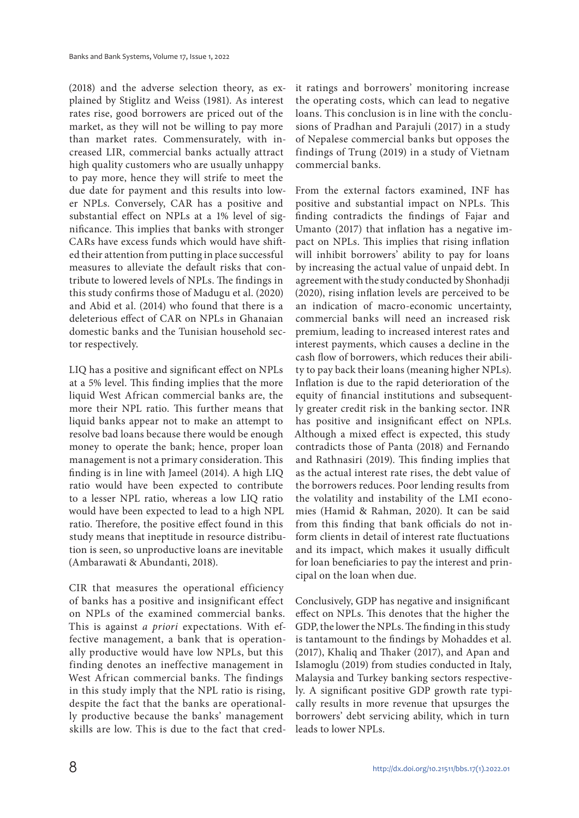(2018) and the adverse selection theory, as explained by Stiglitz and Weiss (1981). As interest rates rise, good borrowers are priced out of the market, as they will not be willing to pay more than market rates. Commensurately, with increased LIR, commercial banks actually attract high quality customers who are usually unhappy to pay more, hence they will strife to meet the due date for payment and this results into lower NPLs. Conversely, CAR has a positive and substantial effect on NPLs at a 1% level of significance. This implies that banks with stronger CARs have excess funds which would have shifted their attention from putting in place successful measures to alleviate the default risks that contribute to lowered levels of NPLs. The findings in this study confirms those of Madugu et al. (2020) and Abid et al. (2014) who found that there is a deleterious effect of CAR on NPLs in Ghanaian domestic banks and the Tunisian household sector respectively.

LIQ has a positive and significant effect on NPLs at a 5% level. This finding implies that the more liquid West African commercial banks are, the more their NPL ratio. This further means that liquid banks appear not to make an attempt to resolve bad loans because there would be enough money to operate the bank; hence, proper loan management is not a primary consideration. This finding is in line with Jameel (2014). A high LIQ ratio would have been expected to contribute to a lesser NPL ratio, whereas a low LIQ ratio would have been expected to lead to a high NPL ratio. Therefore, the positive effect found in this study means that ineptitude in resource distribution is seen, so unproductive loans are inevitable (Ambarawati & Abundanti, 2018).

CIR that measures the operational efficiency of banks has a positive and insignificant effect on NPLs of the examined commercial banks. This is against *a priori* expectations. With effective management, a bank that is operationally productive would have low NPLs, but this finding denotes an ineffective management in West African commercial banks. The findings in this study imply that the NPL ratio is rising, despite the fact that the banks are operationally productive because the banks' management skills are low. This is due to the fact that credit ratings and borrowers' monitoring increase the operating costs, which can lead to negative loans. This conclusion is in line with the conclusions of Pradhan and Parajuli (2017) in a study of Nepalese commercial banks but opposes the findings of Trung (2019) in a study of Vietnam commercial banks.

From the external factors examined, INF has positive and substantial impact on NPLs. This finding contradicts the findings of Fajar and Umanto (2017) that inflation has a negative impact on NPLs. This implies that rising inflation will inhibit borrowers' ability to pay for loans by increasing the actual value of unpaid debt. In agreement with the study conducted by Shonhadji (2020), rising inflation levels are perceived to be an indication of macro-economic uncertainty, commercial banks will need an increased risk premium, leading to increased interest rates and interest payments, which causes a decline in the cash flow of borrowers, which reduces their ability to pay back their loans (meaning higher NPLs). Inflation is due to the rapid deterioration of the equity of financial institutions and subsequently greater credit risk in the banking sector. INR has positive and insignificant effect on NPLs. Although a mixed effect is expected, this study contradicts those of Panta (2018) and Fernando and Rathnasiri (2019). This finding implies that as the actual interest rate rises, the debt value of the borrowers reduces. Poor lending results from the volatility and instability of the LMI economies (Hamid & Rahman, 2020). It can be said from this finding that bank officials do not inform clients in detail of interest rate fluctuations and its impact, which makes it usually difficult for loan beneficiaries to pay the interest and principal on the loan when due.

Conclusively, GDP has negative and insignificant effect on NPLs. This denotes that the higher the GDP, the lower the NPLs. The finding in this study is tantamount to the findings by Mohaddes et al. (2017), Khaliq and Thaker (2017), and Apan and Islamoglu (2019) from studies conducted in Italy, Malaysia and Turkey banking sectors respectively. A significant positive GDP growth rate typically results in more revenue that upsurges the borrowers' debt servicing ability, which in turn leads to lower NPLs.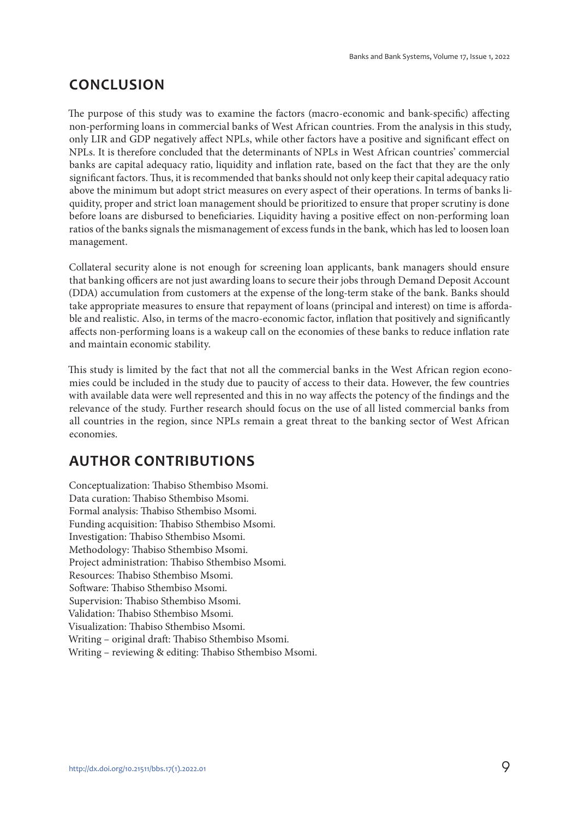## **CONCLUSION**

The purpose of this study was to examine the factors (macro-economic and bank-specific) affecting non-performing loans in commercial banks of West African countries. From the analysis in this study, only LIR and GDP negatively affect NPLs, while other factors have a positive and significant effect on NPLs. It is therefore concluded that the determinants of NPLs in West African countries' commercial banks are capital adequacy ratio, liquidity and inflation rate, based on the fact that they are the only significant factors. Thus, it is recommended that banks should not only keep their capital adequacy ratio above the minimum but adopt strict measures on every aspect of their operations. In terms of banks liquidity, proper and strict loan management should be prioritized to ensure that proper scrutiny is done before loans are disbursed to beneficiaries. Liquidity having a positive effect on non-performing loan ratios of the banks signals the mismanagement of excess funds in the bank, which has led to loosen loan management.

Collateral security alone is not enough for screening loan applicants, bank managers should ensure that banking officers are not just awarding loans to secure their jobs through Demand Deposit Account (DDA) accumulation from customers at the expense of the long-term stake of the bank. Banks should take appropriate measures to ensure that repayment of loans (principal and interest) on time is affordable and realistic. Also, in terms of the macro-economic factor, inflation that positively and significantly affects non-performing loans is a wakeup call on the economies of these banks to reduce inflation rate and maintain economic stability.

This study is limited by the fact that not all the commercial banks in the West African region economies could be included in the study due to paucity of access to their data. However, the few countries with available data were well represented and this in no way affects the potency of the findings and the relevance of the study. Further research should focus on the use of all listed commercial banks from all countries in the region, since NPLs remain a great threat to the banking sector of West African economies.

## **AUTHOR CONTRIBUTIONS**

Conceptualization: Thabiso Sthembiso Msomi. Data curation: Thabiso Sthembiso Msomi. Formal analysis: Thabiso Sthembiso Msomi. Funding acquisition: Thabiso Sthembiso Msomi. Investigation: Thabiso Sthembiso Msomi. Methodology: Thabiso Sthembiso Msomi. Project administration: Thabiso Sthembiso Msomi. Resources: Thabiso Sthembiso Msomi. Software: Thabiso Sthembiso Msomi. Supervision: Thabiso Sthembiso Msomi. Validation: Thabiso Sthembiso Msomi. Visualization: Thabiso Sthembiso Msomi. Writing – original draft: Thabiso Sthembiso Msomi. Writing – reviewing & editing: Thabiso Sthembiso Msomi.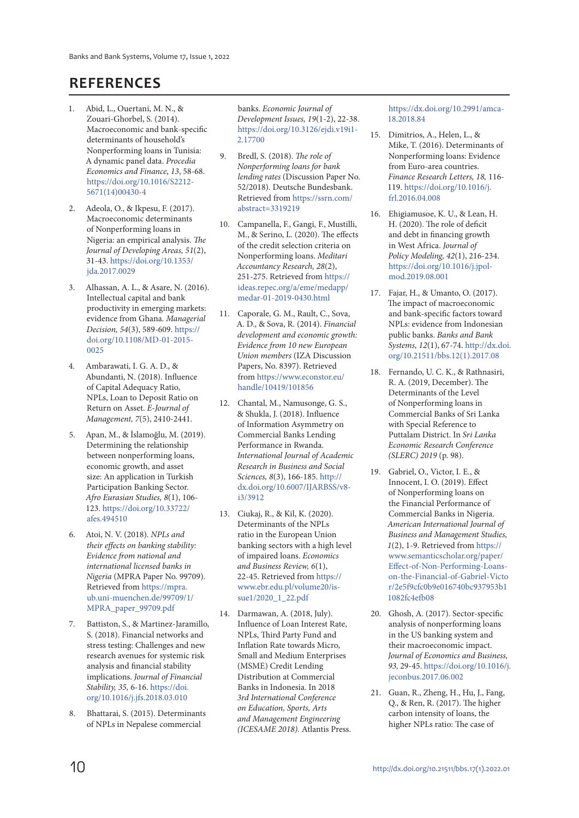## **REFERENCES**

- 1. Abid, L., Ouertani, M. N., & Zouari-Ghorbel, S. (2014). Macroeconomic and bank-specific determinants of household's Nonperforming loans in Tunisia: A dynamic panel data. Procedia Economics and Finance, 13, 58-68. https://doi.org/10.1016/S2212- 5671(14)00430-4
- 2. Adeola, O., & Ikpesu, F. (2017). Macroeconomic determinants of Nonperforming loans in Nigeria: an empirical analysis. The Journal of Developing Areas, 51(2), 31-43. https://doi.org/10.1353/ jda.2017.0029
- 3. Alhassan, A. L., & Asare, N. (2016). Intellectual capital and bank productivity in emerging markets: evidence from Ghana. Managerial Decision, 54(3), 589-609. https:// doi.org/10.1108/MD-01-2015- 0025
- 4. Ambarawati, I. G. A. D., & Abundanti, N. (2018). Influence of Capital Adequacy Ratio, NPLs, Loan to Deposit Ratio on Return on Asset. E-Journal of Management, 7(5), 2410-2441.
- 5. Apan, M., & İslamoğlu, M. (2019). Determining the relationship between nonperforming loans, economic growth, and asset size: An application in Turkish Participation Banking Sector. Afro Eurasian Studies, 8(1), 106- 123. https://doi.org/10.33722/ afes.494510
- 6. Atoi, N. V. (2018). NPLs and their effects on banking stability: Evidence from national and international licensed banks in Nigeria (MPRA Paper No. 99709). Retrieved from https://mpra. ub.uni-muenchen.de/99709/1/ MPRA\_paper\_99709.pdf
- 7. Battiston, S., & Martinez-Jaramillo, S. (2018). Financial networks and stress testing: Challenges and new research avenues for systemic risk analysis and financial stability implications. Journal of Financial Stability, 35, 6-16. https://doi. org/10.1016/j.jfs.2018.03.010
- 8. Bhattarai, S. (2015). Determinants of NPLs in Nepalese commercial

banks. Economic Journal of Development Issues, 19(1-2), 22-38. https://doi.org/10.3126/ejdi.v19i1- 2.17700

- 9. Bredl, S. (2018). The role of Nonperforming loans for bank lending rates (Discussion Paper No. 52/2018). Deutsche Bundesbank. Retrieved from https://ssrn.com/ abstract=3319219
- 10. Campanella, F., Gangi, F., Mustilli, M., & Serino, L. (2020). The effects of the credit selection criteria on Nonperforming loans. Meditari Accountancy Research, 28(2), 251-275. Retrieved from https:// ideas.repec.org/a/eme/medapp/ medar-01-2019-0430.html
- 11. Caporale, G. M., Rault, C., Sova, A. D., & Sova, R. (2014). Financial development and economic growth: Evidence from 10 new European Union members (IZA Discussion Papers, No. 8397). Retrieved from https://www.econstor.eu/ handle/10419/101856
- 12. Chantal, M., Namusonge, G. S., & Shukla, J. (2018). Influence of Information Asymmetry on Commercial Banks Lending Performance in Rwanda. International Journal of Academic Research in Business and Social Sciences, 8(3), 166-185. http:// dx.doi.org/10.6007/IJARBSS/v8 i3/3912
- 13. Ciukaj, R., & Kil, K. (2020). Determinants of the NPLs ratio in the European Union banking sectors with a high level of impaired loans. Economics and Business Review, 6(1), 22-45. Retrieved from https:// www.ebr.edu.pl/volume20/issue1/2020\_1\_22.pdf
- 14. Darmawan, A. (2018, July). Influence of Loan Interest Rate, NPLs, Third Party Fund and Inflation Rate towards Micro, Small and Medium Enterprises (MSME) Credit Lending Distribution at Commercial Banks in Indonesia. In 2018 3rd International Conference on Education, Sports, Arts and Management Engineering (ICESAME 2018). Atlantis Press.

https://dx.doi.org/10.2991/amca-18.2018.84

- 15. Dimitrios, A., Helen, L., & Mike, T. (2016). Determinants of Nonperforming loans: Evidence from Euro-area countries. Finance Research Letters, 18, 116- 119. https://doi.org/10.1016/j. frl.2016.04.008
- 16. Ehigiamusoe, K. U., & Lean, H. H. (2020). The role of deficit and debt in financing growth in West Africa. Journal of Policy Modeling, 42(1), 216-234. https://doi.org/10.1016/j.jpolmod.2019.08.001
- 17. Fajar, H., & Umanto, O. (2017). The impact of macroeconomic and bank-specific factors toward NPLs: evidence from Indonesian public banks. Banks and Bank Systems, 12(1), 67-74. http://dx.doi. org/10.21511/bbs.12(1).2017.08
- 18. Fernando, U. C. K., & Rathnasiri, R. A. (2019, December). The Determinants of the Level of Nonperforming loans in Commercial Banks of Sri Lanka with Special Reference to Puttalam District. In Sri Lanka Economic Research Conference (SLERC) 2019 (p. 98).
- 19. Gabriel, O., Victor, I. E., & Innocent, I. O. (2019). Effect of Nonperforming loans on the Financial Performance of Commercial Banks in Nigeria. American International Journal of Business and Management Studies, 1(2), 1-9. Retrieved from https:// www.semanticscholar.org/paper/ Effect-of-Non-Performing-Loanson-the-Financial-of-Gabriel-Victo r/2e5f9cfc0b9e016740bc937953b1 1082fc4efb08
- 20. Ghosh, A. (2017). Sector-specific analysis of nonperforming loans in the US banking system and their macroeconomic impact. Journal of Economics and Business, 93, 29-45. https://doi.org/10.1016/j. jeconbus.2017.06.002
- 21. Guan, R., Zheng, H., Hu, J., Fang, Q., & Ren, R. (2017). The higher carbon intensity of loans, the higher NPLs ratio: The case of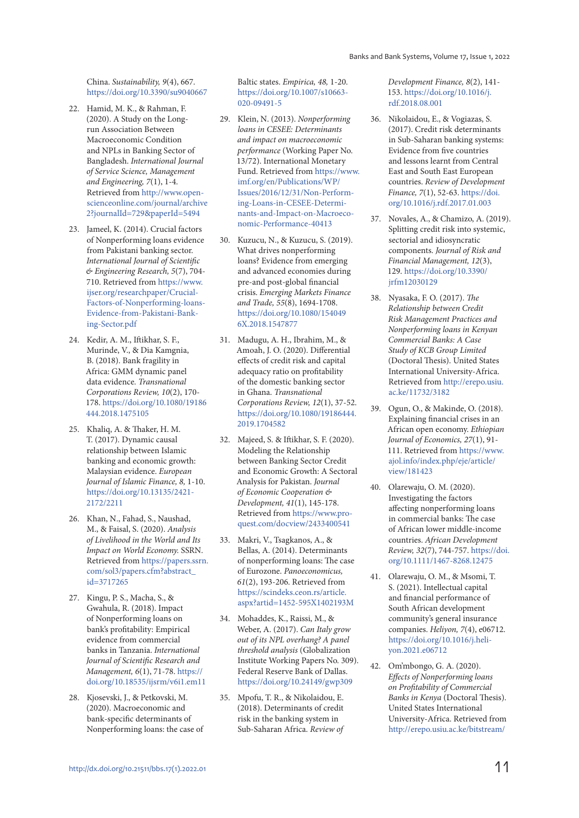China. Sustainability, 9(4), 667. https://doi.org/10.3390/su9040667

- 22. Hamid, M. K., & Rahman, F. (2020). A Study on the Longrun Association Between Macroeconomic Condition and NPLs in Banking Sector of Bangladesh. International Journal of Service Science, Management and Engineering, 7(1), 1-4. Retrieved from http://www.openscienceonline.com/journal/archive 2?journalId=729&paperId=5494
- 23. Jameel, K. (2014). Crucial factors of Nonperforming loans evidence from Pakistani banking sector. International Journal of Scientific & Engineering Research, 5(7), 704- 710. Retrieved from https://www. ijser.org/researchpaper/Crucial-Factors-of-Nonperforming-loans-Evidence-from-Pakistani-Banking-Sector.pdf
- 24. Kedir, A. M., Iftikhar, S. F., Murinde, V., & Dia Kamgnia, B. (2018). Bank fragility in Africa: GMM dynamic panel data evidence. Transnational Corporations Review, 10(2), 170- 178. https://doi.org/10.1080/19186 444.2018.1475105
- 25. Khaliq, A. & Thaker, H. M. T. (2017). Dynamic causal relationship between Islamic banking and economic growth: Malaysian evidence. European Journal of Islamic Finance, 8, 1-10. https://doi.org/10.13135/2421- 2172/2211
- 26. Khan, N., Fahad, S., Naushad, M., & Faisal, S. (2020). Analysis of Livelihood in the World and Its Impact on World Economy. SSRN. Retrieved from https://papers.ssrn. com/sol3/papers.cfm?abstract\_ id=3717265
- 27. Kingu, P. S., Macha, S., & Gwahula, R. (2018). Impact of Nonperforming loans on bank's profitability: Empirical evidence from commercial banks in Tanzania. International Journal of Scientific Research and Management, 6(1), 71-78. https:// doi.org/10.18535/ijsrm/v6i1.em11
- 28. Kjosevski, J., & Petkovski, M. (2020). Macroeconomic and bank-specific determinants of Nonperforming loans: the case of

Baltic states. Empirica, 48, 1-20. https://doi.org/10.1007/s10663- 020-09491-5

- 29. Klein, N. (2013). Nonperforming loans in CESEE: Determinants and impact on macroeconomic performance (Working Paper No. 13/72). International Monetary Fund. Retrieved from https://www. imf.org/en/Publications/WP/ Issues/2016/12/31/Non-Performing-Loans-in-CESEE-Determinants-and-Impact-on-Macroeconomic-Performance-40413
- 30. Kuzucu, N., & Kuzucu, S. (2019). What drives nonperforming loans? Evidence from emerging and advanced economies during pre-and post-global financial crisis. Emerging Markets Finance and Trade, 55(8), 1694-1708. https://doi.org/10.1080/154049 6X.2018.1547877
- 31. Madugu, A. H., Ibrahim, M., & Amoah, J. O. (2020). Differential effects of credit risk and capital adequacy ratio on profitability of the domestic banking sector in Ghana. Transnational Corporations Review, 12(1), 37-52. https://doi.org/10.1080/19186444. 2019.1704582
- 32. Majeed, S. & Iftikhar, S. F. (2020). Modeling the Relationship between Banking Sector Credit and Economic Growth: A Sectoral Analysis for Pakistan. Journal of Economic Cooperation & Development, 41(1), 145-178. Retrieved from https://www.proquest.com/docview/2433400541
- 33. Makri, V., Tsagkanos, A., & Bellas, A. (2014). Determinants of nonperforming loans: The case of Eurozone. Panoeconomicus, 61(2), 193-206. Retrieved from https://scindeks.ceon.rs/article. aspx?artid=1452-595X1402193M
- 34. Mohaddes, K., Raissi, M., & Weber, A. (2017). Can Italy grow out of its NPL overhang? A panel threshold analysis (Globalization Institute Working Papers No. 309). Federal Reserve Bank of Dallas. https://doi.org/10.24149/gwp309
- 35. Mpofu, T. R., & Nikolaidou, E. (2018). Determinants of credit risk in the banking system in Sub-Saharan Africa. Review of

Development Finance, 8(2), 141- 153. https://doi.org/10.1016/j. rdf.2018.08.001

- 36. Nikolaidou, E., & Vogiazas, S. (2017). Credit risk determinants in Sub-Saharan banking systems: Evidence from five countries and lessons learnt from Central East and South East European countries. Review of Development Finance, 7(1), 52-63. https://doi. org/10.1016/j.rdf.2017.01.003
- 37. Novales, A., & Chamizo, A. (2019). Splitting credit risk into systemic, sectorial and idiosyncratic components. Journal of Risk and Financial Management, 12(3), 129. https://doi.org/10.3390/ jrfm12030129
- 38. Nyasaka, F. O. (2017). The Relationship between Credit Risk Management Practices and Nonperforming loans in Kenyan Commercial Banks: A Case Study of KCB Group Limited (Doctoral Thesis). United States International University-Africa. Retrieved from http://erepo.usiu. ac.ke/11732/3182
- 39. Ogun, O., & Makinde, O. (2018). Explaining financial crises in an African open economy. Ethiopian Journal of Economics, 27(1), 91- 111. Retrieved from https://www. ajol.info/index.php/eje/article/ view/181423
- 40. Olarewaju, O. M. (2020). Investigating the factors affecting nonperforming loans in commercial banks: The case of African lower middle‐income countries. African Development Review, 32(7), 744-757. https://doi. org/10.1111/1467-8268.12475
- 41. Olarewaju, O. M., & Msomi, T. S. (2021). Intellectual capital and financial performance of South African development community's general insurance companies. Heliyon, 7(4), e06712. https://doi.org/10.1016/j.heliyon.2021.e06712
- 42. Om'mbongo, G. A. (2020). Effects of Nonperforming loans on Profitability of Commercial Banks in Kenya (Doctoral Thesis). United States International University-Africa. Retrieved from http://erepo.usiu.ac.ke/bitstream/